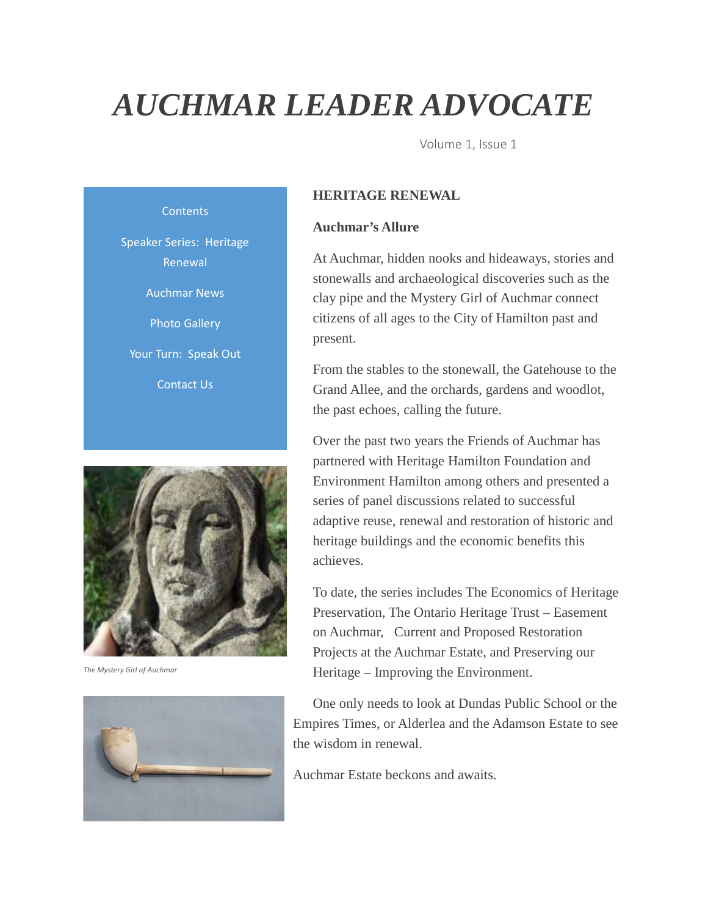# *AUCHMAR LEADER ADVOCATE*

Volume 1, Issue 1





*The Mystery Girl of Auchmar*



#### **HERITAGE RENEWAL**

#### **Auchmar's Allure**

At Auchmar, hidden nooks and hideaways, stories and stonewalls and archaeological discoveries such as the clay pipe and the Mystery Girl of Auchmar connect citizens of all ages to the City of Hamilton past and present.

From the stables to the stonewall, the Gatehouse to the Grand Allee, and the orchards, gardens and woodlot, the past echoes, calling the future.

Over the past two years the Friends of Auchmar has partnered with Heritage Hamilton Foundation and Environment Hamilton among others and presented a series of panel discussions related to successful adaptive reuse, renewal and restoration of historic and heritage buildings and the economic benefits this achieves.

To date, the series includes The Economics of Heritage Preservation, The Ontario Heritage Trust – Easement on Auchmar, Current and Proposed Restoration Projects at the Auchmar Estate, and Preserving our Heritage – Improving the Environment.

One only needs to look at Dundas Public School or the Empires Times, or Alderlea and the Adamson Estate to see the wisdom in renewal.

Auchmar Estate beckons and awaits.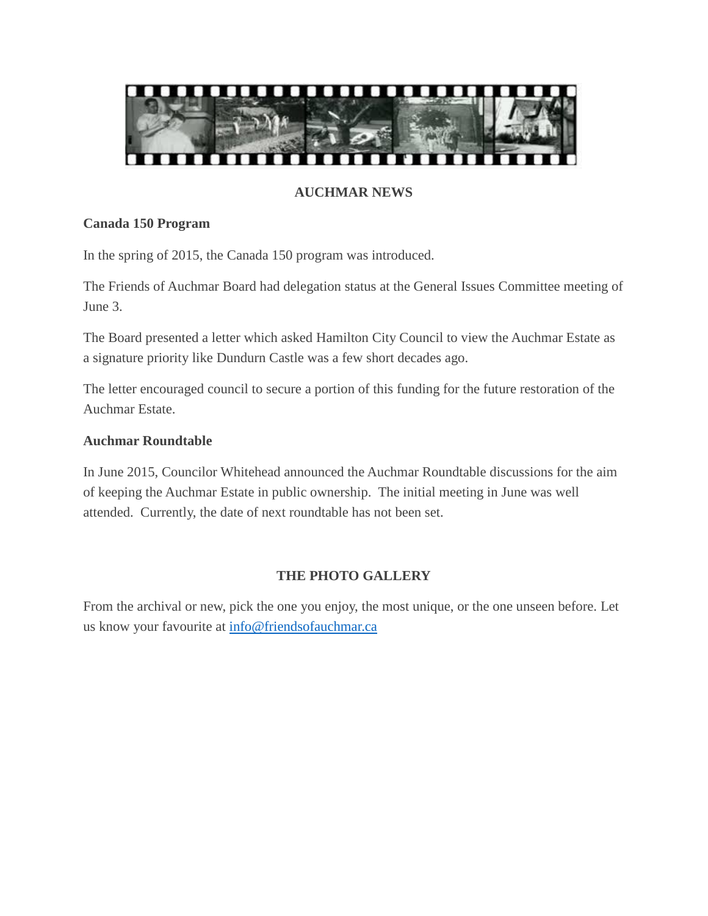

# **AUCHMAR NEWS**

# **Canada 150 Program**

In the spring of 2015, the Canada 150 program was introduced.

The Friends of Auchmar Board had delegation status at the General Issues Committee meeting of June 3.

The Board presented a letter which asked Hamilton City Council to view the Auchmar Estate as a signature priority like Dundurn Castle was a few short decades ago.

The letter encouraged council to secure a portion of this funding for the future restoration of the Auchmar Estate.

### **Auchmar Roundtable**

In June 2015, Councilor Whitehead announced the Auchmar Roundtable discussions for the aim of keeping the Auchmar Estate in public ownership. The initial meeting in June was well attended. Currently, the date of next roundtable has not been set.

# **THE PHOTO GALLERY**

From the archival or new, pick the one you enjoy, the most unique, or the one unseen before. Let us know your favourite at [info@friendsofauchmar.ca](mailto:info@friendsofauchmar.ca)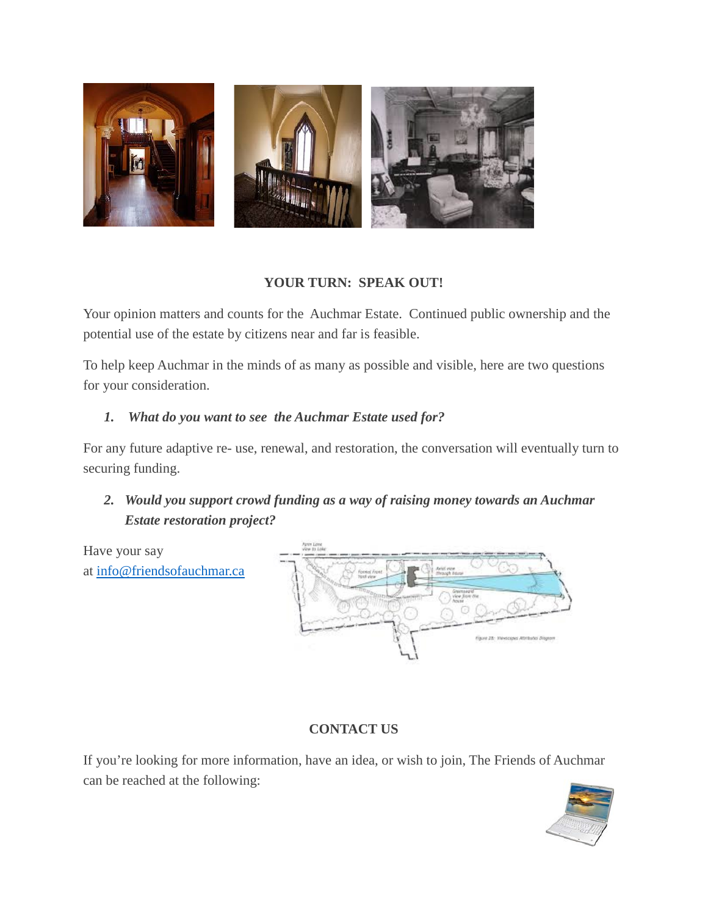

# **YOUR TURN: SPEAK OUT!**

Your opinion matters and counts for the Auchmar Estate. Continued public ownership and the potential use of the estate by citizens near and far is feasible.

To help keep Auchmar in the minds of as many as possible and visible, here are two questions for your consideration.

# *1. What do you want to see the Auchmar Estate used for?*

For any future adaptive re- use, renewal, and restoration, the conversation will eventually turn to securing funding.

# *2. Would you support crowd funding as a way of raising money towards an Auchmar Estate restoration project?*

Have your say at [info@friendsofauchmar.ca](mailto:info@friendsofauchmar.ca)



# **CONTACT US**

If you're looking for more information, have an idea, or wish to join, The Friends of Auchmar can be reached at the following:

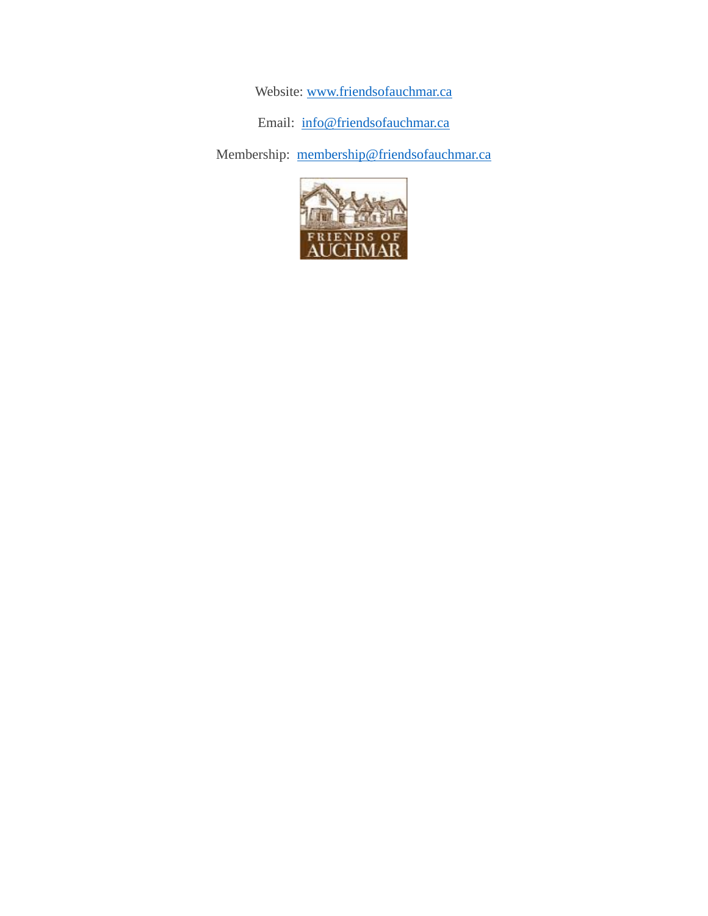Website: [www.friendsofauchmar.ca](http://www.friendsofauchmar.ca/)

Email: [info@friendsofauchmar.ca](mailto:info@friendsofauchmar.ca)

Membership: [membership@friendsofauchmar.ca](mailto:membership@friendsofauchmar.ca)